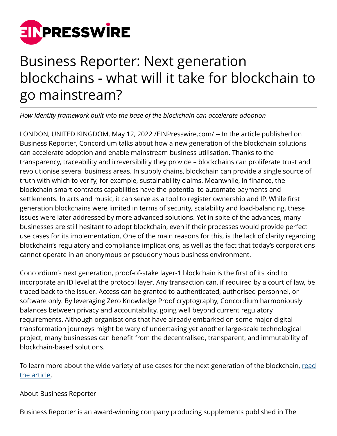

## Business Reporter: Next generation blockchains - what will it take for blockchain to go mainstream?

*How Identity framework built into the base of the blockchain can accelerate adoption*

LONDON, UNITED KINGDOM, May 12, 2022 /[EINPresswire.com/](http://www.einpresswire.com) -- In the article published on Business Reporter, Concordium talks about how a new generation of the blockchain solutions can accelerate adoption and enable mainstream business utilisation. Thanks to the transparency, traceability and irreversibility they provide – blockchains can proliferate trust and revolutionise several business areas. In supply chains, blockchain can provide a single source of truth with which to verify, for example, sustainability claims. Meanwhile, in finance, the blockchain smart contracts capabilities have the potential to automate payments and settlements. In arts and music, it can serve as a tool to register ownership and IP. While first generation blockchains were limited in terms of security, scalability and load-balancing, these issues were later addressed by more advanced solutions. Yet in spite of the advances, many businesses are still hesitant to adopt blockchain, even if their processes would provide perfect use cases for its implementation. One of the main reasons for this, is the lack of clarity regarding blockchain's regulatory and compliance implications, as well as the fact that today's corporations cannot operate in an anonymous or pseudonymous business environment.

Concordium's next generation, proof-of-stake layer-1 blockchain is the first of its kind to incorporate an ID level at the protocol layer. Any transaction can, if required by a court of law, be traced back to the issuer. Access can be granted to authenticated, authorised personnel, or software only. By leveraging Zero Knowledge Proof cryptography, Concordium harmoniously balances between privacy and accountability, going well beyond current regulatory requirements. Although organisations that have already embarked on some major digital transformation journeys might be wary of undertaking yet another large-scale technological project, many businesses can benefit from the decentralised, transparent, and immutability of blockchain-based solutions.

To learn more about the wide variety of use cases for the next generation of the blockchain, [read](https://www.business-reporter.co.uk/finance/why-businesses-need-to-move-on-blockchain) [the article.](https://www.business-reporter.co.uk/finance/why-businesses-need-to-move-on-blockchain)

## About Business Reporter

Business Reporter is an award-winning company producing supplements published in The